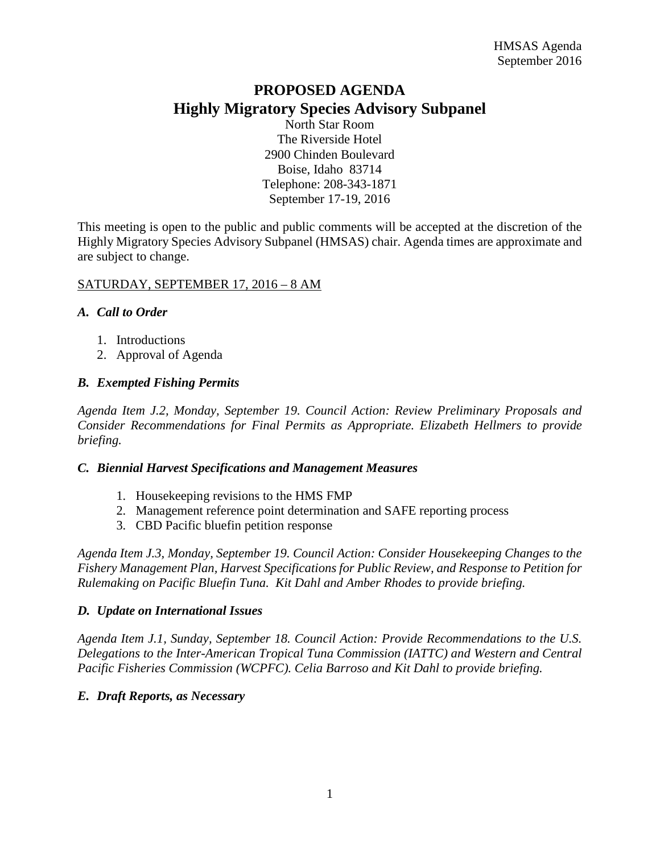# **PROPOSED AGENDA Highly Migratory Species Advisory Subpanel**

North Star Room The Riverside Hotel 2900 Chinden Boulevard Boise, Idaho 83714 Telephone: 208-343-1871 September 17-19, 2016

This meeting is open to the public and public comments will be accepted at the discretion of the Highly Migratory Species Advisory Subpanel (HMSAS) chair. Agenda times are approximate and are subject to change.

## SATURDAY, SEPTEMBER 17, 2016 – 8 AM

## *A. Call to Order*

- 1. Introductions
- 2. Approval of Agenda

# *B. Exempted Fishing Permits*

*Agenda Item J.2, Monday, September 19. Council Action: Review Preliminary Proposals and Consider Recommendations for Final Permits as Appropriate. Elizabeth Hellmers to provide briefing.*

#### *C. Biennial Harvest Specifications and Management Measures*

- 1. Housekeeping revisions to the HMS FMP
- 2. Management reference point determination and SAFE reporting process
- 3. CBD Pacific bluefin petition response

*Agenda Item J.3, Monday, September 19. Council Action: Consider Housekeeping Changes to the Fishery Management Plan, Harvest Specifications for Public Review, and Response to Petition for Rulemaking on Pacific Bluefin Tuna. Kit Dahl and Amber Rhodes to provide briefing.*

#### *D. Update on International Issues*

*Agenda Item J.1, Sunday, September 18. Council Action: Provide Recommendations to the U.S. Delegations to the Inter-American Tropical Tuna Commission (IATTC) and Western and Central Pacific Fisheries Commission (WCPFC). Celia Barroso and Kit Dahl to provide briefing.*

# *E. Draft Reports, as Necessary*